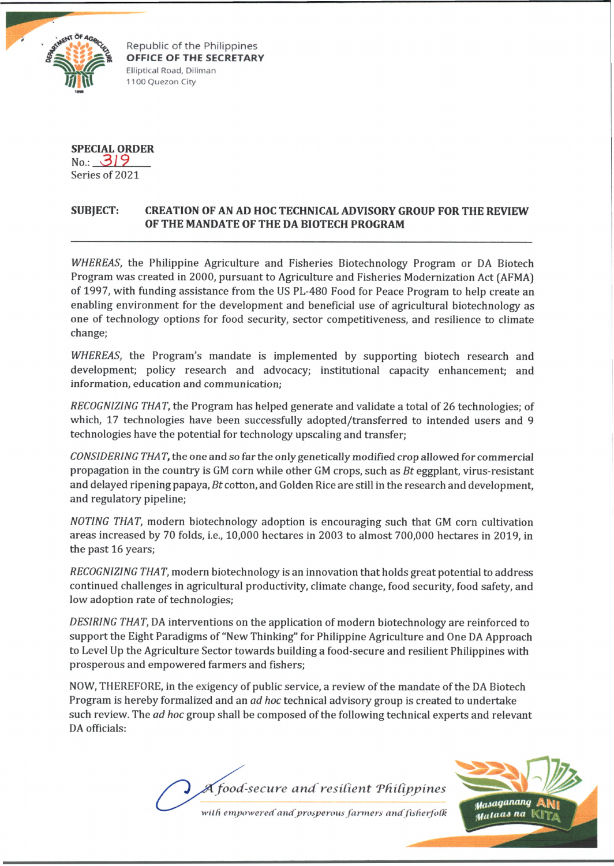

Republic of the Philippines **OFFICE OF THE SECRETARY** Elliptical Road, Diliman 1100 Quezon City

**SPECIAL ORDER**

**No.:** *.\_3.L9..*\_\_ Series of 2021

# **SUBJECT: CREATION OF AN AD HOC TECHNICAL ADVISORY GROUP FOR THE REVIEW OF THE MANDATE OF THE DA BIOTECH PROGRAM**

*WHEREAS,* the Philippine Agriculture and Fisheries Biotechnology Program or DA Biotech Program was created in 2000, pursuant to Agriculture and Fisheries Modernization Act (AFMA) of 1997, with funding assistance from the US PL-480 Food for Peace Program to help create an enabling environment for the development and beneficial use of agricultural biotechnology as one of technology options for food security, sector competitiveness, and resilience to climate change;

*WHEREAS,* the Program's mandate is implemented by supporting biotech research and development; policy research and advocacy; institutional capacity enhancement; and information, education and communication;

*RECOGNIZING THAT,* the Program has helped generate and validate a total of 26 technologies; of which, 17 technologies have been successfully adopted/transferred to intended users and 9 technologies have the potential for technology upscaling and transfer;

*CONSIDERING THAT,* the one and so far the only genetically modified crop allowed for commercial propagation in the country is GM corn while other GM crops, such as *Bt* eggplant, virus-resistant and delayed ripening papaya, *Bt* cotton, and Golden Rice are still in the research and development, and regulatory pipeline;

*NOTING THAT,* modern biotechnology adoption is encouraging such that GM corn cultivation areas increased by 70 folds, i.e., 10,000 hectares in 2003 to almost 700,000 hectares in 2019, in the past 16 years;

*RECOGNIZING THAT,* modern biotechnology is an innovation that holds great potential to address continued challenges in agricultural productivity, climate change, food security, food safety, and low adoption rate of technologies;

*DESIRING THAT,* DA interventions on the application of modern biotechnology are reinforced to support the Eight Paradigms of "New Thinking" for Philippine Agriculture and One DA Approach to Level Up the Agriculture Sector towards building a food-secure and resilient Philippines with prosperous and empowered farmers and fishers;

NOW, THEREFORE, in the exigency of public service, a review of the mandate of the DA Biotech Program is hereby formalized and an *ad hoc* technical advisory group is created to undertake such review. The *ad hoc* group shall be composed of the following technical experts and relevant DA officials:

food-secure and resilient Philippines with empowered and prosperous farmers and fisherfolk

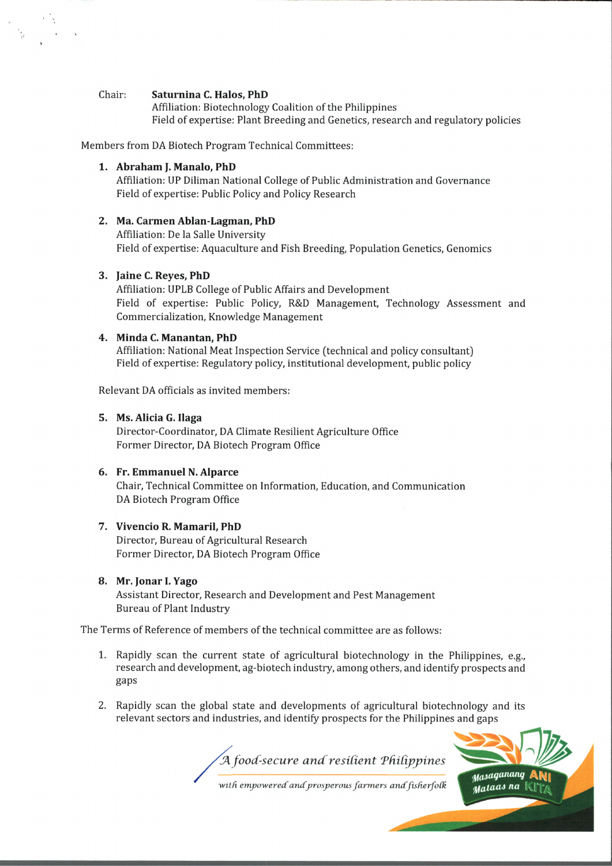#### Chair: **Saturnina C. Halos, PhD**

Affiliation: Biotechnology Coalition of the Philippines Field of expertise: Plant Breeding and Genetics, research and regulatory policies

Members from DA Biotech Program Technical Committees:

### **1. Abraham J. Manalo, PhD**

Affiliation: UP Diliman National College of Public Administration and Governance Field of expertise: Public Policy and Policy Research

# **2. Ma. Carmen Ablan-Lagman, PhD**

Affiliation: De la Salle University Field of expertise: Aquaculture and Fish Breeding, Population Genetics, Genomics

### **3. Jaine C. Reyes, PhD**

Affiliation: UPLB College of Public Affairs and Development Field of expertise: Public Policy, R&D Management, Technology Assessment and Commercialization, Knowledge Management

#### **4. Minda C. Manantan, PhD**

Affiliation: National Meat Inspection Service (technical and policy consultant] Field of expertise: Regulatory policy, institutional development, public policy

Relevant DA officials as invited members:

#### **5. Ms. Alicia G. Ilaga**

Director-Coordinator, DA Climate Resilient Agriculture Office Former Director, DA Biotech Program Office

# **6. Fr. Emmanuel N. Alparce**

Chair, Technical Committee on Information, Education, and Communication DA Biotech Program Office

### **7. Vivencio R. Mamaril, PhD**

Director, Bureau of Agricultural Research Former Director, DA Biotech Program Office

# **8. Mr. Jonar 1. Yago**

Assistant Director, Research and Development and Pest Management Bureau of Plant Industry

The Terms of Reference of members of the technical committee are as follows:

- 1. Rapidly scan the current state of agricultural biotechnology in the Philippines, e.g., research and development, ag-biotech industry, among others, and identify prospects and gaps
- 2. Rapidly scan the global state and developments of agricultural biotechnology and its relevant sectors and industries, and identify prospects for the Philippines and gaps



with empowered and prosperous farmers and fisherfolk